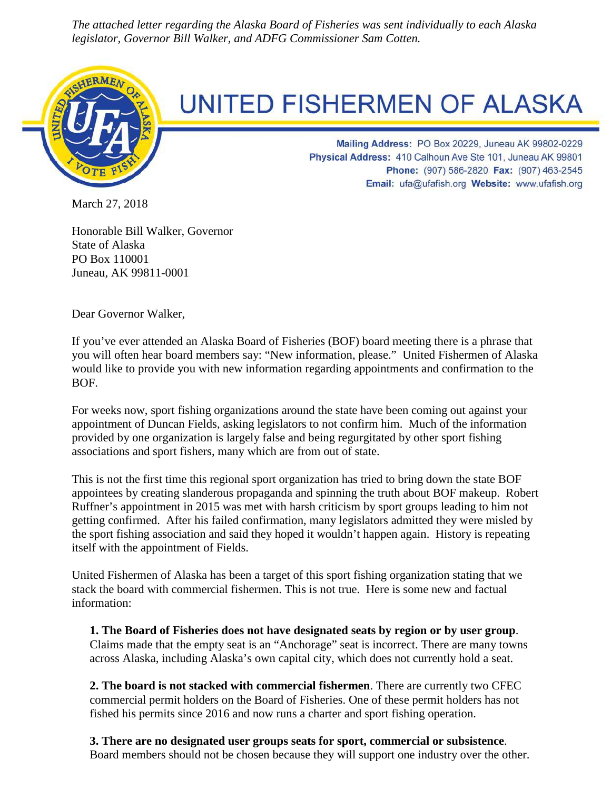*The attached letter regarding the Alaska Board of Fisheries was sent individually to each Alaska legislator, Governor Bill Walker, and ADFG Commissioner Sam Cotten.*



## **UNITED FISHERMEN OF ALASKA**

Mailing Address: PO Box 20229, Juneau AK 99802-0229 Physical Address: 410 Calhoun Ave Ste 101, Juneau AK 99801 Phone: (907) 586-2820 Fax: (907) 463-2545 Email: ufa@ufafish.org Website: www.ufafish.org

March 27, 2018

Honorable Bill Walker, Governor State of Alaska PO Box 110001 Juneau, AK 99811-0001

Dear Governor Walker,

If you've ever attended an Alaska Board of Fisheries (BOF) board meeting there is a phrase that you will often hear board members say: "New information, please." United Fishermen of Alaska would like to provide you with new information regarding appointments and confirmation to the BOF.

For weeks now, sport fishing organizations around the state have been coming out against your appointment of Duncan Fields, asking legislators to not confirm him. Much of the information provided by one organization is largely false and being regurgitated by other sport fishing associations and sport fishers, many which are from out of state.

This is not the first time this regional sport organization has tried to bring down the state BOF appointees by creating slanderous propaganda and spinning the truth about BOF makeup. Robert Ruffner's appointment in 2015 was met with harsh criticism by sport groups leading to him not getting confirmed. After his failed confirmation, many legislators admitted they were misled by the sport fishing association and said they hoped it wouldn't happen again. History is repeating itself with the appointment of Fields.

United Fishermen of Alaska has been a target of this sport fishing organization stating that we stack the board with commercial fishermen. This is not true. Here is some new and factual information:

**1. The Board of Fisheries does not have designated seats by region or by user group**. Claims made that the empty seat is an "Anchorage" seat is incorrect. There are many towns across Alaska, including Alaska's own capital city, which does not currently hold a seat.

**2. The board is not stacked with commercial fishermen**. There are currently two CFEC commercial permit holders on the Board of Fisheries. One of these permit holders has not fished his permits since 2016 and now runs a charter and sport fishing operation.

**3. There are no designated user groups seats for sport, commercial or subsistence**. Board members should not be chosen because they will support one industry over the other.